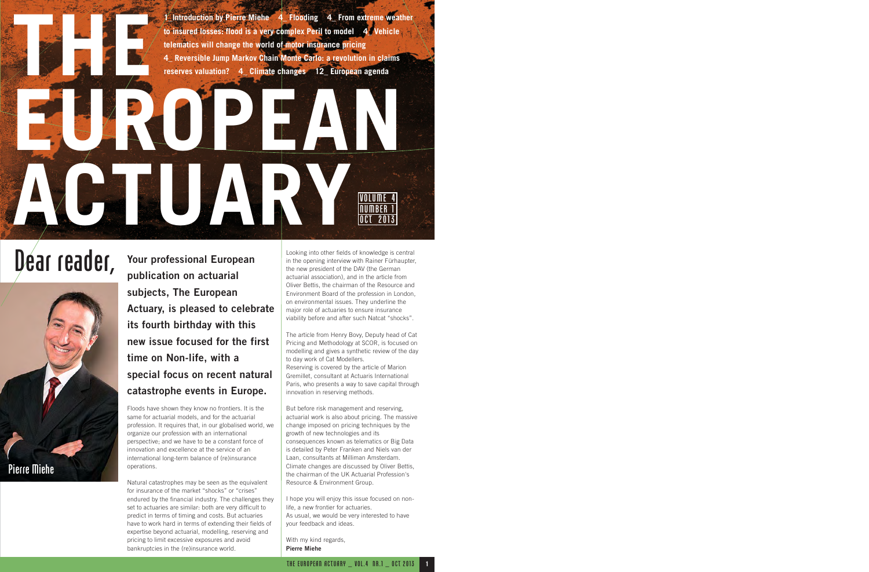**1\_Introduction by Pierre Miehe 4\_ Flooding 4\_ From extreme weather to insured losses: flood is a very complex Peril to model 4\_ Vehicle telematics will change the world of motor insurance pricing 4\_ Reversible Jump Markov Chain Monte Carlo: a revolution in claims reserves valuation? 4\_ Climate changes 12\_ European agenda**

**THE** 



**Your professional European publication on actuarial subjects, The European Actuary, is pleased to celebrate its fourth birthday with this new issue focused for the first time on Non-life, with a special focus on recent natural catastrophe events in Europe.**

**ACTUARY**

**EUROPEAN** 

Floods have shown they know no frontiers. It is the same for actuarial models, and for the actuarial profession. It requires that, in our globalised world, we organize our profession with an international perspective; and we have to be a constant force of innovation and excellence at the service of an international long-term balance of (re)insurance operations.

Natural catastrophes may be seen as the equivalent for insurance of the market "shocks" or "crises" endured by the financial industry. The challenges they set to actuaries are similar: both are very difficult to predict in terms of timing and costs. But actuaries have to work hard in terms of extending their fields of expertise beyond actuarial, modelling, reserving and pricing to limit excessive exposures and avoid bankruptcies in the (re)insurance world.

**Dear reader for Particle Care reading the Dear Report of the DAV** (the German the DAV (the German the DAV (the German the DAV (the German the DAV (the German the DAV (the German the DAV (the German the DAV (the German th in the opening interview with Rainer Fürhaupter, the new president of the DAV (the German actuarial association), and in the article from Oliver Bettis, the chairman of the Resource and Environment Board of the profession in London, on environmental issues. They underline the major role of actuaries to ensure insurance viability before and after such Natcat "shocks".

VOLUME 4 NUMBER 1 OCT 2013

The article from Henry Bovy, Deputy head of Cat Pricing and Methodology at SCOR, is focused on modelling and gives a synthetic review of the day to day work of Cat Modellers. Reserving is covered by the article of Marion Gremillet, consultant at Actuaris International Paris, who presents a way to save capital through innovation in reserving methods.

But before risk management and reserving, actuarial work is also about pricing. The massive change imposed on pricing techniques by the growth of new technologies and its consequences known as telematics or Big Data is detailed by Peter Franken and Niels van der Laan, consultants at Milliman Amsterdam. Climate changes are discussed by Oliver Bettis, the chairman of the UK Actuarial Profession's Resource & Environment Group.

I hope you will enjoy this issue focused on nonlife, a new frontier for actuaries. As usual, we would be very interested to have your feedback and ideas.

With my kind regards, **Pierre Miehe**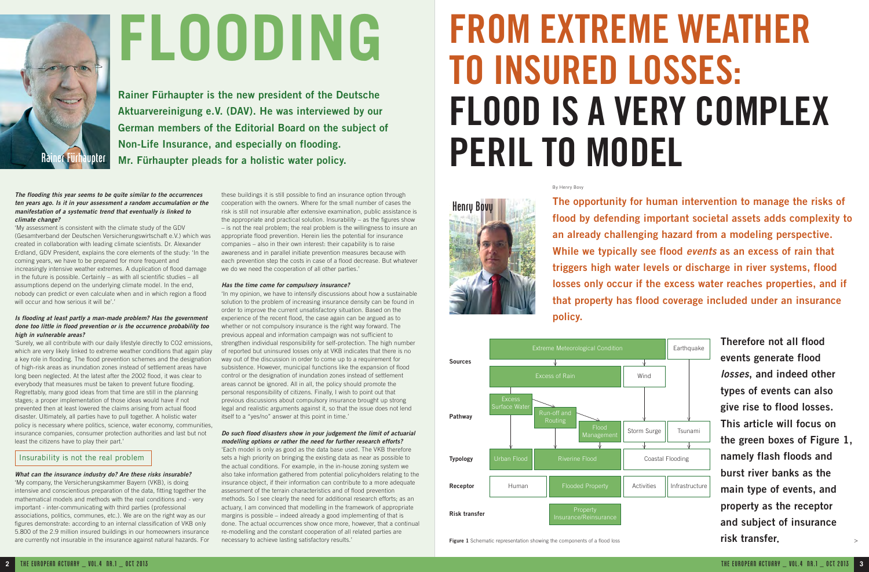

# **FLOODING**

'My assessment is consistent with the climate study of the GDV (Gesamtverband der Deutschen Versicherungswirtschaft e.V.) which was created in collaboration with leading climate scientists. Dr. Alexander Erdland, GDV President, explains the core elements of the study: 'In the coming years, we have to be prepared for more frequent and increasingly intensive weather extremes. A duplication of flood damage in the future is possible. Certainly – as with all scientific studies – all assumptions depend on the underlying climate model. In the end, nobody can predict or even calculate when and in which region a flood will occur and how serious it will be''

#### **The flooding this year seems to be quite similar to the occurrences ten years ago. Is it in your assessment a random accumulation or the manifestation of a systematic trend that eventually is linked to climate change?**

#### **Is flooding at least partly a man-made problem? Has the government done too little in flood prevention or is the occurrence probability too high in vulnerable areas?**

'Surely, we all contribute with our daily lifestyle directly to CO2 emissions, which are very likely linked to extreme weather conditions that again play a key role in flooding. The flood prevention schemes and the designation of high-risk areas as inundation zones instead of settlement areas have long been neglected. At the latest after the 2002 flood, it was clear to everybody that measures must be taken to prevent future flooding. Regrettably, many good ideas from that time are still in the planning stages; a proper implementation of those ideas would have if not prevented then at least lowered the claims arising from actual flood disaster. Ultimately, all parties have to pull together. A holistic water policy is necessary where politics, science, water economy, communities, insurance companies, consumer protection authorities and last but not least the citizens have to play their part.'

#### Insurability is not the real problem

#### **What can the insurance industry do? Are these risks insurable?**

'My company, the Versicherungskammer Bayern (VKB), is doing intensive and conscientious preparation of the data, fitting together the mathematical models and methods with the real conditions and - very important - inter-communicating with third parties (professional associations, politics, communes, etc.). We are on the right way as our figures demonstrate: according to an internal classification of VKB only 5.800 of the 2.9 million insured buildings in our homeowners insurance are currently not insurable in the insurance against natural hazards. For

**Rainer Fürhaupter is the new president of the Deutsche Aktuarvereinigung e.V. (DAV). He was interviewed by our German members of the Editorial Board on the subject of Non-Life Insurance, and especially on flooding. Mr. Fürhaupter pleads for a holistic water policy.** 

> these buildings it is still possible to find an insurance option through cooperation with the owners. Where for the small number of cases the risk is still not insurable after extensive examination, public assistance is the appropriate and practical solution. Insurability – as the figures show – is not the real problem; the real problem is the willingness to insure an appropriate flood prevention. Herein lies the potential for insurance companies – also in their own interest: their capability is to raise awareness and in parallel initiate prevention measures because with each prevention step the costs in case of a flood decrease. But whatever we do we need the cooperation of all other parties.'

#### **Has the time come for compulsory insurance?**

'In my opinion, we have to intensify discussions about how a sustainable solution to the problem of increasing insurance density can be found in order to improve the current unsatisfactory situation. Based on the experience of the recent flood, the case again can be argued as to whether or not compulsory insurance is the right way forward. The previous appeal and information campaign was not sufficient to strengthen individual responsibility for self-protection. The high number of reported but uninsured losses only at VKB indicates that there is no way out of the discussion in order to come up to a requirement for subsistence. However, municipal functions like the expansion of flood control or the designation of inundation zones instead of settlement areas cannot be ignored. All in all, the policy should promote the personal responsibility of citizens. Finally, I wish to point out that previous discussions about compulsory insurance brought up strong legal and realistic arguments against it, so that the issue does not lend itself to a "yes/no" answer at this point in time.'

#### **Do such flood disasters show in your judgement the limit of actuarial modelling options or rather the need for further research efforts?**

'Each model is only as good as the data base used. The VKB therefore sets a high priority on bringing the existing data as near as possible to the actual conditions. For example, in the in-house zoning system we also take information gathered from potential policyholders relating to the insurance object, if their information can contribute to a more adequate assessment of the terrain characteristics and of flood prevention methods. So I see clearly the need for additional research efforts; as an actuary, I am convinced that modelling in the framework of appropriate margins is possible – indeed already a good implementing of that is done. The actual occurrences show once more, however, that a continual re-modelling and the constant cooperation of all related parties are necessary to achieve lasting satisfactory results.'

## **FROM EXTREME WEATHER TO INSURED LOSSES: FLOOD IS A VERY COMPLEX PERIL TO MODEL**

#### By Henry Bovy

**The opportunity for human intervention to manage the risks of flood by defending important societal assets adds complexity to an already challenging hazard from a modeling perspective. While we typically see flood events as an excess of rain that triggers high water levels or discharge in river systems, flood losses only occur if the excess water reaches properties, and if that property has flood coverage included under an insurance policy.**

> **Therefore not all flood events generate flood losses, and indeed other types of events can also give rise to flood losses. This article will focus on the green boxes of Figure 1, namely flash floods and burst river banks as the main type of events, and property as the receptor and subject of insurance**

Henry Bovy

>



**Figure 1** Schematic representation showing the components of a flood loss **rightly in the set of the set of the set of the set of the set of the set of the set of the set of the set of the set of the set of the set of the**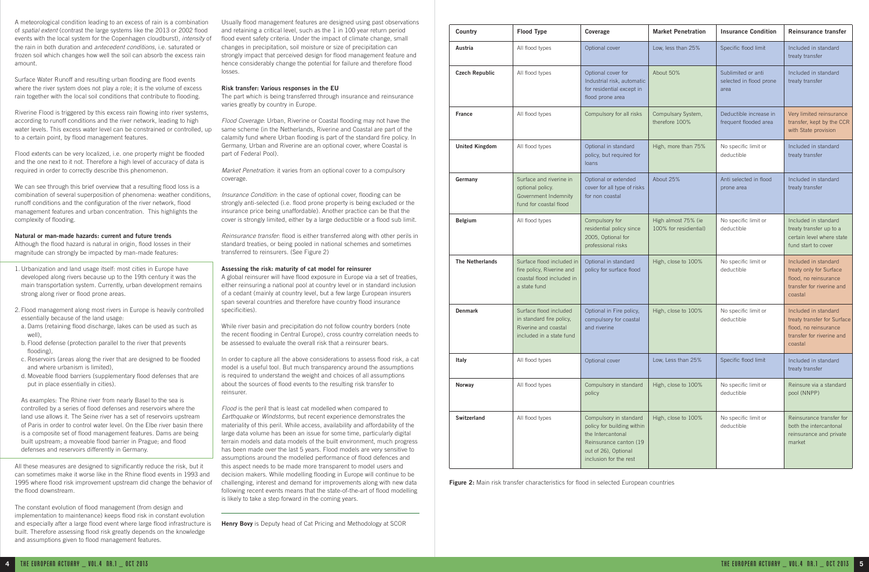A meteorological condition leading to an excess of rain is a combination of spatial extent (contrast the large systems like the 2013 or 2002 flood events with the local system for the Copenhagen cloudburst), intensity of the rain in both duration and antecedent conditions, i.e. saturated or frozen soil which changes how well the soil can absorb the excess rain amount.

Surface Water Runoff and resulting urban flooding are flood events where the river system does not play a role; it is the volume of excess rain together with the local soil conditions that contribute to flooding.

We can see through this brief overview that a resulting flood loss is a combination of several superposition of phenomena: weather conditions, runoff conditions and the configuration of the river network, flood management features and urban concentration. This highlights the complexity of flooding.

Riverine Flood is triggered by this excess rain flowing into river systems, according to runoff conditions and the river network, leading to high water levels. This excess water level can be constrained or controlled, up to a certain point, by flood management features.

Flood extents can be very localized, i.e. one property might be flooded and the one next to it not. Therefore a high level of accuracy of data is required in order to correctly describe this phenomenon.

#### **Natural or man-made hazards: current and future trends**

Although the flood hazard is natural in origin, flood losses in their magnitude can strongly be impacted by man-made features:

- 1. Urbanization and land usage itself: most cities in Europe have developed along rivers because up to the 19th century it was the main transportation system. Currently, urban development remains strong along river or flood prone areas.
- 2. Flood management along most rivers in Europe is heavily controlled essentially because of the land usage:
- a. Dams (retaining flood discharge, lakes can be used as such as well),
- b. Flood defense (protection parallel to the river that prevents flooding),
- c. Reservoirs (areas along the river that are designed to be flooded and where urbanism is limited),
- d. Moveable flood barriers (supplementary flood defenses that are put in place essentially in cities).

Market Penetration: it varies from an optional cover to a compulsory coverage.

As examples: The Rhine river from nearly Basel to the sea is controlled by a series of flood defenses and reservoirs where the land use allows it. The Seine river has a set of reservoirs upstream of Paris in order to control water level. On the Elbe river basin there is a composite set of flood management features. Dams are being built upstream; a moveable flood barrier in Prague; and flood defenses and reservoirs differently in Germany.

All these measures are designed to significantly reduce the risk, but it can sometimes make it worse like in the Rhine flood events in 1993 and 1995 where flood risk improvement upstream did change the behavior of the flood downstream.

The constant evolution of flood management (from design and implementation to maintenance) keeps flood risk in constant evolution and especially after a large flood event where large flood infrastructure is built. Therefore assessing flood risk greatly depends on the knowledge and assumptions given to flood management features.

Flood is the peril that is least cat modelled when compared to Earthquake or Windstorms, but recent experience demonstrates the materiality of this peril. While access, availability and affordability of the large data volume has been an issue for some time, particularly digital terrain models and data models of the built environment, much progress has been made over the last 5 years. Flood models are very sensitive to assumptions around the modelled performance of flood defences and this aspect needs to be made more transparent to model users and decision makers. While modelling flooding in Europe will continue to be challenging, interest and demand for improvements along with new data following recent events means that the state-of-the-art of flood modelling is likely to take a step forward in the coming years.

Usually flood management features are designed using past observations and retaining a critical level, such as the 1 in 100 year return period flood event safety criteria. Under the impact of climate change, small changes in precipitation, soil moisture or size of precipitation can strongly impact that perceived design for flood management feature and hence considerably change the potential for failure and therefore flood losses.

#### **Risk transfer: Various responses in the EU**

The part which is being transferred through insurance and reinsurance varies greatly by country in Europe.

Flood Coverage: Urban, Riverine or Coastal flooding may not have the same scheme (in the Netherlands, Riverine and Coastal are part of the calamity fund where Urban flooding is part of the standard fire policy. In Germany, Urban and Riverine are an optional cover, where Coastal is part of Federal Pool).

Insurance Condition: in the case of optional cover, flooding can be strongly anti-selected (i.e. flood prone property is being excluded or the insurance price being unaffordable). Another practice can be that the cover is strongly limited, either by a large deductible or a flood sub limit.

Reinsurance transfer: flood is either transferred along with other perils in standard treaties, or being pooled in national schemes and sometimes transferred to reinsurers. (See Figure 2)

#### **Assessing the risk: maturity of cat model for reinsurer**

A global reinsurer will have flood exposure in Europe via a set of treaties, either reinsuring a national pool at country level or in standard inclusion of a cedant (mainly at country level, but a few large European insurers span several countries and therefore have country flood insurance specificities).

While river basin and precipitation do not follow country borders (note the recent flooding in Central Europe), cross country correlation needs to be assessed to evaluate the overall risk that a reinsurer bears.

In order to capture all the above considerations to assess flood risk, a cat model is a useful tool. But much transparency around the assumptions is required to understand the weight and choices of all assumptions about the sources of flood events to the resulting risk transfer to reinsurer.

**Henry Bovy** is Deputy head of Cat Pricing and Methodology at SCOR

| Country                | <b>Flood Type</b>                                                                                      | Coverage                                                                                                                                              | <b>Market Penetration</b>                     | <b>Insurance Condition</b>                            | Reinsurance transfer                                                                                                 |
|------------------------|--------------------------------------------------------------------------------------------------------|-------------------------------------------------------------------------------------------------------------------------------------------------------|-----------------------------------------------|-------------------------------------------------------|----------------------------------------------------------------------------------------------------------------------|
| Austria                | All flood types                                                                                        | Optional cover                                                                                                                                        | Low, less than 25%                            | Specific flood limit                                  | Included in standard<br>treaty transfer                                                                              |
| <b>Czech Republic</b>  | All flood types                                                                                        | Optional cover for<br>Industrial risk, automatic<br>for residential except in<br>flood prone area                                                     | About 50%                                     | Sublimited or anti<br>selected in flood prone<br>area | Included in standard<br>treaty transfer                                                                              |
| <b>France</b>          | All flood types                                                                                        | Compulsory for all risks                                                                                                                              | Compulsary System,<br>therefore 100%          | Deductible increase in<br>frequent flooded area       | Very limited reinsurance<br>transfer, kept by the CCR<br>with State provision                                        |
| <b>United Kingdom</b>  | All flood types                                                                                        | Optional in standard<br>policy, but required for<br>loans                                                                                             | High, more than 75%                           | No specific limit or<br>deductible                    | Included in standard<br>treaty transfer                                                                              |
| Germany                | Surface and riverine in<br>optional policy.<br>Government Indemnity<br>fund for coastal flood          | Optional or extended<br>cover for all type of risks<br>for non coastal                                                                                | About 25%                                     | Anti selected in flood<br>prone area                  | Included in standard<br>treaty transfer                                                                              |
| <b>Belgium</b>         | All flood types                                                                                        | Compulsory for<br>residential policy since<br>2005, Optional for<br>professional risks                                                                | High almost 75% (ie<br>100% for residiential) | No specific limit or<br>deductible                    | Included in standard<br>treaty transfer up to a<br>certain level where state<br>fund start to cover                  |
| <b>The Netherlands</b> | Surface flood included in<br>fire policy, Riverine and<br>coastal flood included in<br>a state fund    | Optional in standard<br>policy for surface flood                                                                                                      | High, close to 100%                           | No specific limit or<br>deductible                    | Included in standard<br>treaty only for Surface<br>flood, no reinsurance<br>transfer for riverine and<br>coastal     |
| <b>Denmark</b>         | Surface flood included<br>in standard fire policy,<br>Riverine and coastal<br>included in a state fund | Optional in Fire policy,<br>compulsory for coastal<br>and riverine                                                                                    | High, close to 100%                           | No specific limit or<br>deductible                    | Included in standard<br>treaty transfer for Surface<br>flood, no reinsurance<br>transfer for riverine and<br>coastal |
| Italy                  | All flood types                                                                                        | Optional cover                                                                                                                                        | Low, Less than 25%                            | Specific flood limit                                  | Included in standard<br>treaty transfer                                                                              |
| Norway                 | All flood types                                                                                        | Compulsory in standard<br>policy                                                                                                                      | High, close to 100%                           | No specific limit or<br>deductible                    | Reinsure via a standard<br>pool (NNPP)                                                                               |
| Switzerland            | All flood types                                                                                        | Compulsory in standard<br>policy for building within<br>the Intercantonal<br>Reinsurance canton (19<br>out of 26), Optional<br>inclusion for the rest | High, close to 100%                           | No specific limit or<br>deductible                    | Reinsurance transfer for<br>both the intercantonal<br>reinsurance and private<br>market                              |

**Figure 2:** Main risk transfer characteristics for flood in selected European countries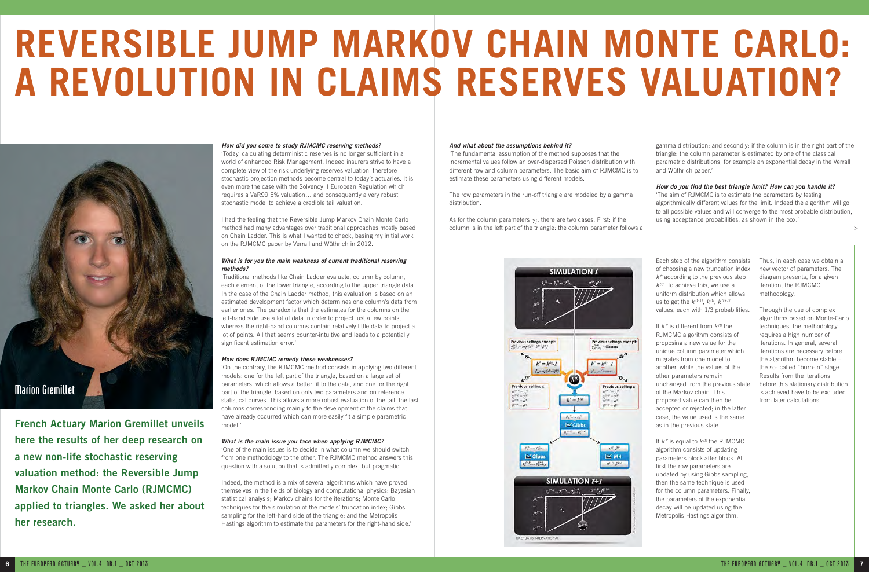#### **How did you come to study RJMCMC reserving methods?**

'Today, calculating deterministic reserves is no longer sufficient in a world of enhanced Risk Management. Indeed insurers strive to have a complete view of the risk underlying reserves valuation: therefore stochastic projection methods become central to today's actuaries. It is even more the case with the Solvency II European Regulation which requires a VaR99.5% valuation… and consequently a very robust stochastic model to achieve a credible tail valuation.

I had the feeling that the Reversible Jump Markov Chain Monte Carlo method had many advantages over traditional approaches mostly based on Chain Ladder. This is what I wanted to check, basing my initial work on the RJMCMC paper by Verrall and Wüthrich in 2012.'

#### **What is for you the main weakness of current traditional reserving methods?**

'Traditional methods like Chain Ladder evaluate, column by column, each element of the lower triangle, according to the upper triangle data. In the case of the Chain Ladder method, this evaluation is based on an estimated development factor which determines one column's data from earlier ones. The paradox is that the estimates for the columns on the left-hand side use a lot of data in order to project just a few points, whereas the right-hand columns contain relatively little data to project a lot of points. All that seems counter-intuitive and leads to a potentially significant estimation error.'

#### **How does RJMCMC remedy these weaknesses?**

As for the column parameters  $\gamma_j$ , there are two cases. First: if the column is in the left part of the triangle: the column parameter follows a



'On the contrary, the RJMCMC method consists in applying two different models: one for the left part of the triangle, based on a large set of parameters, which allows a better fit to the data, and one for the right part of the triangle, based on only two parameters and on reference statistical curves. This allows a more robust evaluation of the tail, the last columns corresponding mainly to the development of the claims that have already occurred which can more easily fit a simple parametric model.'

#### **What is the main issue you face when applying RJMCMC?**

'One of the main issues is to decide in what column we should switch from one methodology to the other. The RJMCMC method answers this question with a solution that is admittedly complex, but pragmatic.

If  $k^*$  is equal to  $k^{(t)}$  the RJMCMC algorithm consists of updating parameters block after block. At first the row parameters are updated by using Gibbs sampling, then the same technique is used for the column parameters. Finally, the parameters of the exponential decay will be updated using the Metropolis Hastings algorithm.

Indeed, the method is a mix of several algorithms which have proved themselves in the fields of biology and computational physics: Bayesian statistical analysis; Markov chains for the iterations; Monte Carlo techniques for the simulation of the models' truncation index; Gibbs sampling for the left-hand side of the triangle; and the Metropolis Hastings algorithm to estimate the parameters for the right-hand side.'

## **REVERSIBLE JUMP MARKOV CHAIN MONTE CARLO: A REVOLUTION IN CLAIMS RESERVES VALUATION?**

#### **And what about the assumptions behind it?**

'The fundamental assumption of the method supposes that the incremental values follow an over-dispersed Poisson distribution with different row and column parameters. The basic aim of RJMCMC is to estimate these parameters using different models.

The row parameters in the run-off triangle are modeled by a gamma distribution.

**French Actuary Marion Gremillet unveils here the results of her deep research on a new non-life stochastic reserving valuation method: the Reversible Jump Markov Chain Monte Carlo (RJMCMC) applied to triangles. We asked her about her research.**



Each step of the algorithm consists of choosing a new truncation index  $k^*$  according to the previous step  $k^{(t)}$ . To achieve this, we use a uniform distribution which allows us to get the  $k^{(t-1)}$ ,  $k^{(t)}$ ,  $k^{(t+1)}$ values, each with 1/3 probabilities.

If  $k^*$  is different from  $k^{(t)}$  the RJMCMC algorithm consists of proposing a new value for the unique column parameter which migrates from one model to another, while the values of the other parameters remain unchanged from the previous state of the Markov chain. This proposed value can then be accepted or rejected; in the latter case, the value used is the same as in the previous state.

Thus, in each case we obtain a new vector of parameters. The diagram presents, for a given iteration, the RJMCMC methodology.

Through the use of complex algorithms based on Monte-Carlo techniques, the methodology requires a high number of iterations. In general, several iterations are necessary before the algorithm become stable – the so- called "burn-in" stage. Results from the iterations before this stationary distribution is achieved have to be excluded from later calculations.

gamma distribution; and secondly: if the column is in the right part of the triangle: the column parameter is estimated by one of the classical parametric distributions, for example an exponential decay in the Verrall and Wüthrich paper.'

#### **How do you find the best triangle limit? How can you handle it?**

'The aim of RJMCMC is to estimate the parameters by testing algorithmically different values for the limit. Indeed the algorithm will go to all possible values and will converge to the most probable distribution, using acceptance probabilities, as shown in the box.'

>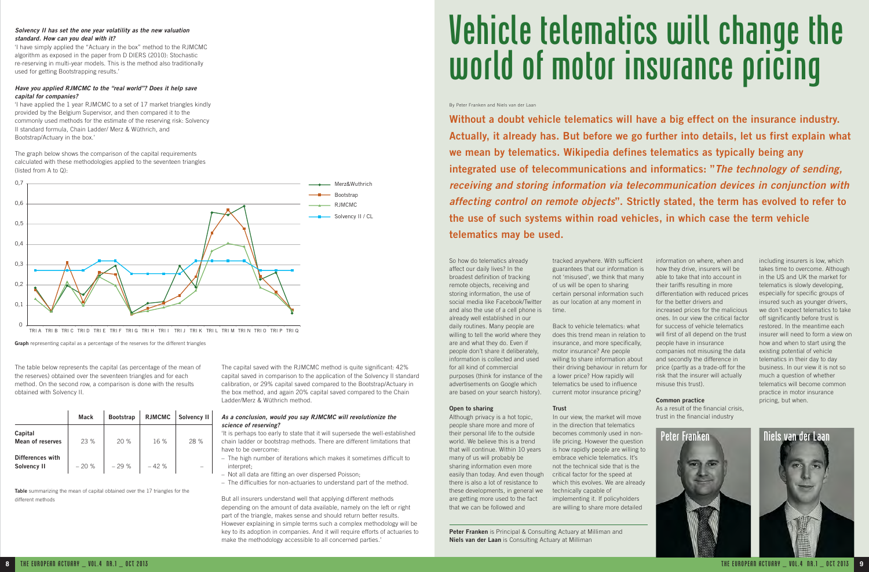#### **Solvency II has set the one year volatility as the new valuation standard. How can you deal with it?**

'I have simply applied the "Actuary in the box" method to the RJMCMC algorithm as exposed in the paper from D DIERS (2010): Stochastic re-reserving in multi-year models. This is the method also traditionally used for getting Bootstrapping results.'

#### **Have you applied RJMCMC to the "real world"? Does it help save capital for companies?**

'I have applied the 1 year RJMCMC to a set of 17 market triangles kindly provided by the Belgium Supervisor, and then compared it to the commonly used methods for the estimate of the reserving risk: Solvency II standard formula, Chain Ladder/ Merz & Wüthrich, and Bootstrap/Actuary in the box.'

The graph below shows the comparison of the capital requirements calculated with these methodologies applied to the seventeen triangles (listed from A to Q):

The table below represents the capital (as percentage of the mean of the reserves) obtained over the seventeen triangles and for each method. On the second row, a comparison is done with the results obtained with Solvency II.

**Table** summarizing the mean of capital obtained over the 17 triangles for the different methods

The capital saved with the RJMCMC method is quite significant: 42% capital saved in comparison to the application of the Solvency II standard calibration, or 29% capital saved compared to the Bootstrap/Actuary in the box method, and again 20% capital saved compared to the Chain Ladder/Merz & Wüthrich method.

#### **As a conclusion, would you say RJMCMC will revolutionize the science of reserving?**

'It is perhaps too early to state that it will supersede the well-established chain ladder or bootstrap methods. There are different limitations that have to be overcome:

- The high number of iterations which makes it sometimes difficult to interpret·
- Not all data are fitting an over dispersed Poisson;
- The difficulties for non-actuaries to understand part of the method.

But all insurers understand well that applying different methods depending on the amount of data available, namely on the left or right part of the triangle, makes sense and should return better results. However explaining in simple terms such a complex methodology will be key to its adoption in companies. And it will require efforts of actuaries to make the methodology accessible to all concerned parties.'

### Vehicle telematics will change the world of motor insurance pricing

So how do telematics already affect our daily lives? In the broadest definition of tracking remote objects, receiving and storing information, the use of social media like Facebook/Twitter and also the use of a cell phone is already well established in our daily routines. Many people are willing to tell the world where they are and what they do. Even if people don't share it deliberately, information is collected and used for all kind of commercial purposes (think for instance of the advertisements on Google which are based on your search history).

#### **Open to sharing**



TRIA TRIB TRIC TRID TRIE TRIF TRIG TRIH TRII TRIJ TRIK TRIL TRIM TRIN TRIO TRIP TRIQ

Although privacy is a hot topic, people share more and more of their personal life to the outside world. We believe this is a trend that will continue. Within 10 years many of us will probably be sharing information even more easily than today. And even though there is also a lot of resistance to these developments, in general we are getting more used to the fact that we can be followed and

#### By Peter Franken and Niels van der Laan

**Without a doubt vehicle telematics will have a big effect on the insurance industry. Actually, it already has. But before we go further into details, let us first explain what we mean by telematics. Wikipedia defines telematics as typically being any integrated use of telecommunications and informatics: "The technology of sending, receiving and storing information via telecommunication devices in conjunction with affecting control on remote objects". Strictly stated, the term has evolved to refer to the use of such systems within road vehicles, in which case the term vehicle telematics may be used.**

|                                        | <b>Mack</b> | <b>Bootstrap</b> | <b>RJMCMC</b> | Solvency II |
|----------------------------------------|-------------|------------------|---------------|-------------|
| Capital<br><b>Mean of reserves</b>     | 23%         | 20%              | 16 %          | 28 %        |
| Differences with<br><b>Solvency II</b> | $-20%$      | $-29%$           | $-42%$        |             |

tracked anywhere. With sufficient guarantees that our information is not 'misused', we think that many of us will be open to sharing certain personal information such as our location at any moment in time.

Back to vehicle telematics: what does this trend mean in relation to insurance, and more specifically, motor insurance? Are people willing to share information about their driving behaviour in return for a lower price? How rapidly will telematics be used to influence current motor insurance pricing?

**Trust**

In our view, the market will move in the direction that telematics

becomes commonly used in nonlife pricing. However the question is how rapidly people are willing to embrace vehicle telematics. It's not the technical side that is the critical factor for the speed at which this evolves. We are already technically capable of implementing it. If policyholders are willing to share more detailed

information on where, when and how they drive, insurers will be able to take that into account in their tariffs resulting in more differentiation with reduced prices for the better drivers and increased prices for the malicious ones. In our view the critical factor for success of vehicle telematics will first of all depend on the trust people have in insurance companies not misusing the data and secondly the difference in price (partly as a trade-off for the risk that the insurer will actually misuse this trust).

#### **Common practice**

As a result of the financial crisis, trust in the financial industry

Peter Franken Niels van der Laan

including insurers is low, which takes time to overcome. Although in the US and UK the market for telematics is slowly developing, especially for specific groups of insured such as younger drivers, we don´t expect telematics to take off significantly before trust is restored. In the meantime each insurer will need to form a view on how and when to start using the existing potential of vehicle telematics in their day to day business. In our view it is not so much a question of whether telematics will become common practice in motor insurance pricing, but when.



**Peter Franken** is Principal & Consulting Actuary at Milliman and **Niels van der Laan** is Consulting Actuary at Milliman

**Graph** representing capital as a percentage of the reserves for the different triangles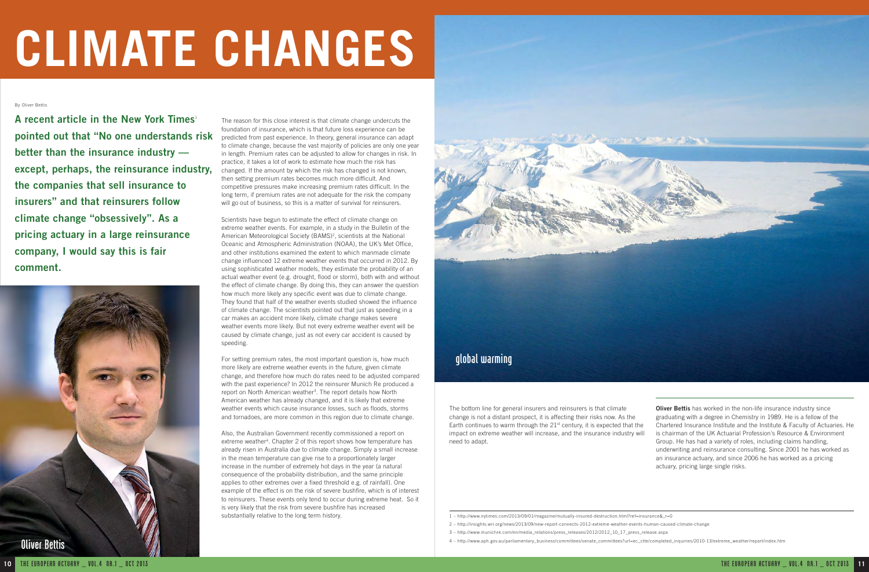The reason for this close interest is that climate change undercuts the foundation of insurance, which is that future loss experience can be predicted from past experience. In theory, general insurance can adapt to climate change, because the vast majority of policies are only one year in length. Premium rates can be adjusted to allow for changes in risk. In practice, it takes a lot of work to estimate how much the risk has changed. If the amount by which the risk has changed is not known, then setting premium rates becomes much more difficult. And competitive pressures make increasing premium rates difficult. In the long term, if premium rates are not adequate for the risk the company will go out of business, so this is a matter of survival for reinsurers.

# **CLIMATE CHANGES**

Scientists have begun to estimate the effect of climate change on extreme weather events. For example, in a study in the Bulletin of the American Meteorological Society (BAMS)<sup>2</sup>, scientists at the National Oceanic and Atmospheric Administration (NOAA), the UK's Met Office, and other institutions examined the extent to which manmade climate change influenced 12 extreme weather events that occurred in 2012. By using sophisticated weather models, they estimate the probability of an actual weather event (e.g. drought, flood or storm), both with and without the effect of climate change. By doing this, they can answer the question how much more likely any specific event was due to climate change. They found that half of the weather events studied showed the influence of climate change. The scientists pointed out that just as speeding in a car makes an accident more likely, climate change makes severe weather events more likely. But not every extreme weather event will be caused by climate change, just as not every car accident is caused by speeding.

For setting premium rates, the most important question is, how much more likely are extreme weather events in the future, given climate change, and therefore how much do rates need to be adjusted compared with the past experience? In 2012 the reinsurer Munich Re produced a report on North American weather<sup>3</sup>. The report details how North American weather has already changed, and it is likely that extreme weather events which cause insurance losses, such as floods, storms and tornadoes, are more common in this region due to climate change.

Also, the Australian Government recently commissioned a report on extreme weather<sup>4</sup>. Chapter 2 of this report shows how temperature has already risen in Australia due to climate change. Simply a small increase in the mean temperature can give rise to a proportionately larger increase in the number of extremely hot days in the year (a natural consequence of the probability distribution, and the same principle applies to other extremes over a fixed threshold e.g. of rainfall). One example of the effect is on the risk of severe bushfire, which is of interest to reinsurers. These events only tend to occur during extreme heat. So it is very likely that the risk from severe bushfire has increased substantially relative to the long term history.

By Oliver Bettis

**A recent article in the New York Times**<sup>1</sup> **pointed out that "No one understands risk better than the insurance industry except, perhaps, the reinsurance industry, the companies that sell insurance to insurers" and that reinsurers follow climate change "obsessively". As a pricing actuary in a large reinsurance company, I would say this is fair comment.** 

The bottom line for general insurers and reinsurers is that climate change is not a distant prospect, it is affecting their risks now. As the Earth continues to warm through the  $21<sup>st</sup>$  century, it is expected that the impact on extreme weather will increase, and the insurance industry will need to adapt.

**Oliver Bettis** has worked in the non-life insurance industry since graduating with a degree in Chemistry in 1989. He is a fellow of the Chartered Insurance Institute and the Institute & Faculty of Actuaries. He is chairman of the UK Actuarial Profession's Resource & Environment Group. He has had a variety of roles, including claims handling, underwriting and reinsurance consulting. Since 2001 he has worked as an insurance actuary, and since 2006 he has worked as a pricing actuary, pricing large single risks.





- 2 http://insights.wri.org/news/2013/09/new-report-connects-2012-extreme-weather-events-human-caused-climate-change
- 3 http://www.munichre.com/en/media\_relations/press\_releases/2012/2012\_10\_17\_press\_release.aspx
- 4 http://www.aph.gov.au/parliamentary\_business/committees/senate\_committees?url=ec\_ctte/completed\_inquiries/2010-13/extreme\_weather/report/index.htm

<sup>1 –</sup> http://www.nytimes.com/2013/09/01/magazine/mutually-insured-destruction.html?ref=insurance&\_r=0